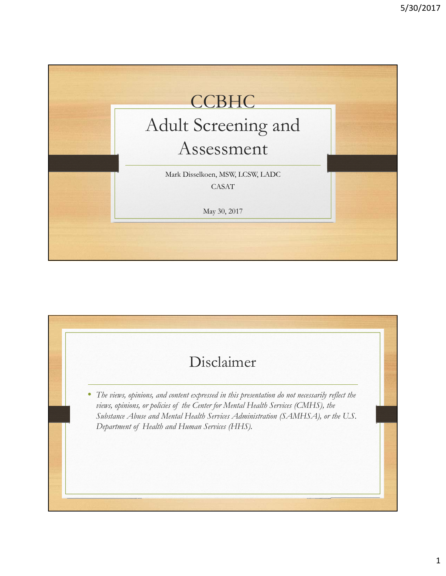

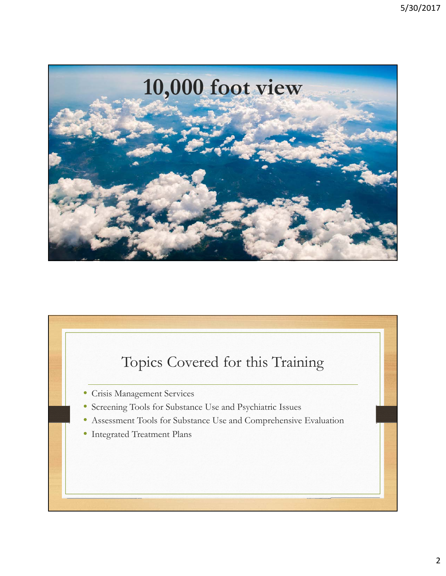

# Topics Covered for this Training • Crisis Management Services • Screening Tools for Substance Use and Psychiatric Issues • Assessment Tools for Substance Use and Comprehensive Evaluation • Integrated Treatment Plans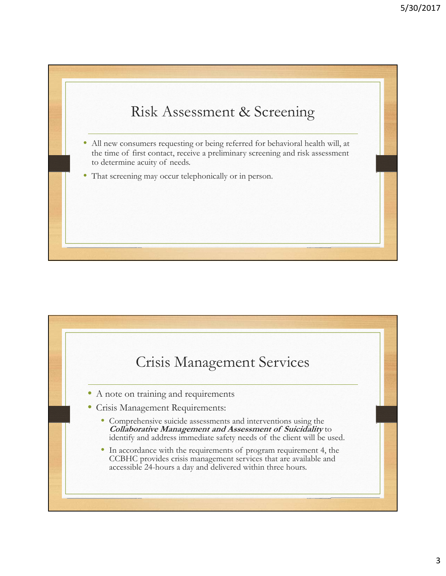

- All new consumers requesting or being referred for behavioral health will, at the time of first contact, receive a preliminary screening and risk assessment to determine acuity of needs.
- That screening may occur telephonically or in person.

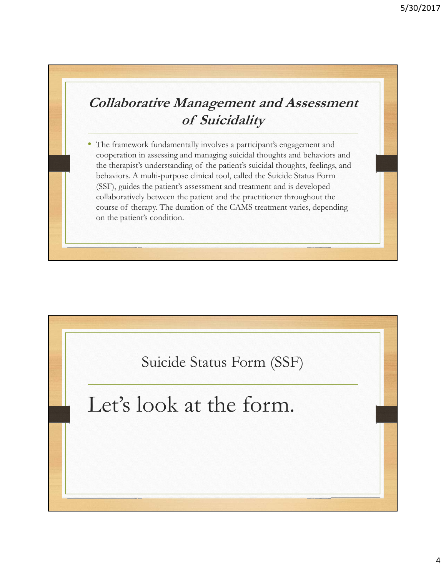## **Collaborative Management and Assessment of Suicidality**

The framework fundamentally involves a participant's engagement and cooperation in assessing and managing suicidal thoughts and behaviors and the therapist's understanding of the patient's suicidal thoughts, feelings, and behaviors. A multi-purpose clinical tool, called the Suicide Status Form (SSF), guides the patient's assessment and treatment and is developed collaboratively between the patient and the practitioner throughout the course of therapy. The duration of the CAMS treatment varies, depending on the patient's condition.

Suicide Status Form (SSF)

## Let's look at the form.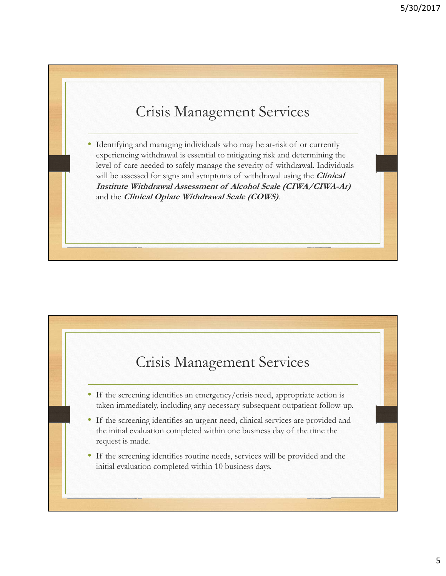## Crisis Management Services

Identifying and managing individuals who may be at-risk of or currently experiencing withdrawal is essential to mitigating risk and determining the level of care needed to safely manage the severity of withdrawal. Individuals will be assessed for signs and symptoms of withdrawal using the **Clinical Institute Withdrawal Assessment of Alcohol Scale (CIWA/CIWA-Ar)**  and the **Clinical Opiate Withdrawal Scale (COWS)**.

## Crisis Management Services

- If the screening identifies an emergency/crisis need, appropriate action is taken immediately, including any necessary subsequent outpatient follow-up.
- If the screening identifies an urgent need, clinical services are provided and the initial evaluation completed within one business day of the time the request is made.
- If the screening identifies routine needs, services will be provided and the initial evaluation completed within 10 business days.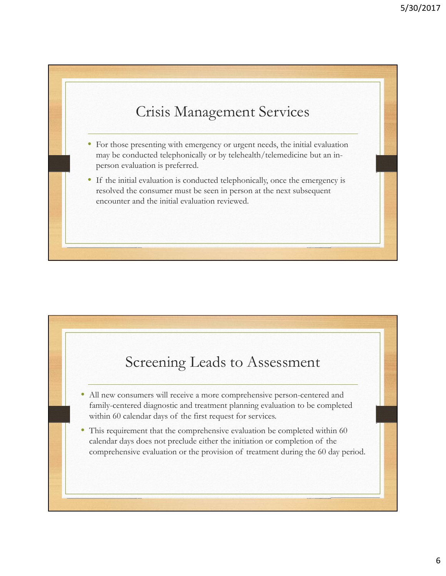## Crisis Management Services

- For those presenting with emergency or urgent needs, the initial evaluation may be conducted telephonically or by telehealth/telemedicine but an inperson evaluation is preferred.
- If the initial evaluation is conducted telephonically, once the emergency is resolved the consumer must be seen in person at the next subsequent encounter and the initial evaluation reviewed.

## Screening Leads to Assessment

- All new consumers will receive a more comprehensive person-centered and family-centered diagnostic and treatment planning evaluation to be completed within 60 calendar days of the first request for services.
- This requirement that the comprehensive evaluation be completed within 60 calendar days does not preclude either the initiation or completion of the comprehensive evaluation or the provision of treatment during the 60 day period.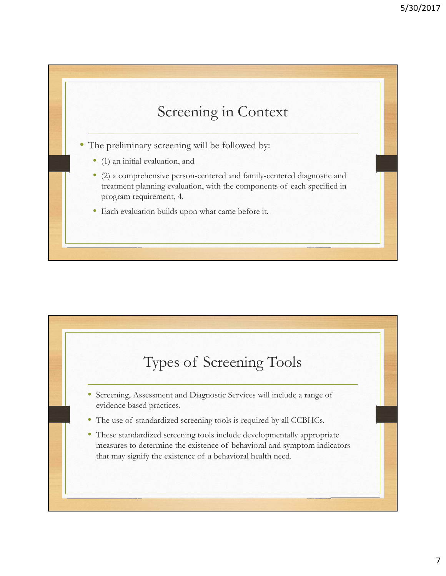

- The preliminary screening will be followed by:
	- (1) an initial evaluation, and
	- (2) a comprehensive person-centered and family-centered diagnostic and treatment planning evaluation, with the components of each specified in program requirement, 4.
	- Each evaluation builds upon what came before it.

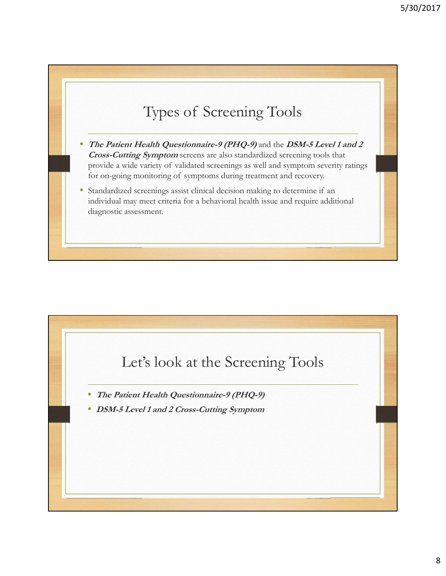## Types of Screening Tools

- **The Patient Health Questionnaire-9 (PHQ-9)** and the **DSM-5 Level 1 and 2 Cross-Cutting Symptom** screens are also standardized screening tools that provide a wide variety of validated screenings as well and symptom severity ratings for on-going monitoring of symptoms during treatment and recovery.
- Standardized screenings assist clinical decision making to determine if an individual may meet criteria for a behavioral health issue and require additional diagnostic assessment.

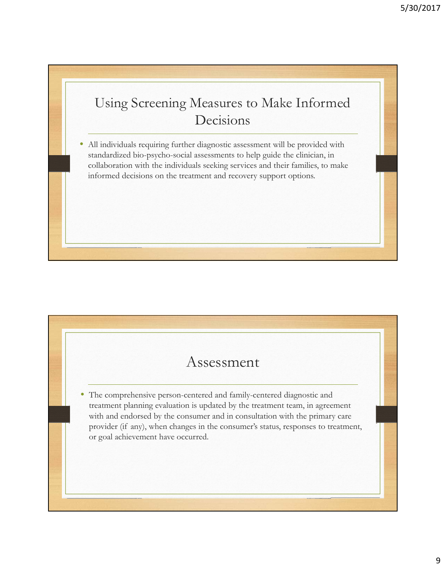## Using Screening Measures to Make Informed Decisions

• All individuals requiring further diagnostic assessment will be provided with standardized bio-psycho-social assessments to help guide the clinician, in collaboration with the individuals seeking services and their families, to make informed decisions on the treatment and recovery support options.

## Assessment

• The comprehensive person-centered and family-centered diagnostic and treatment planning evaluation is updated by the treatment team, in agreement with and endorsed by the consumer and in consultation with the primary care provider (if any), when changes in the consumer's status, responses to treatment, or goal achievement have occurred.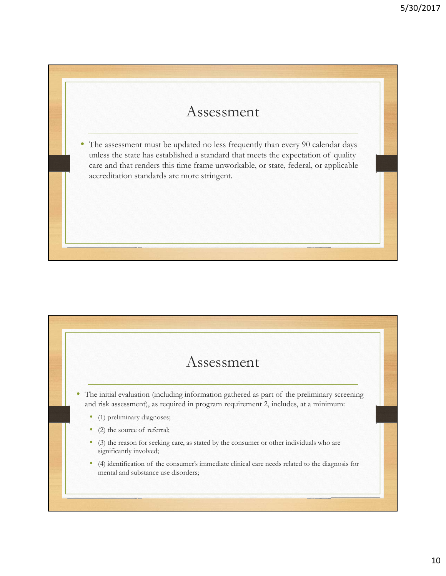## Assessment

• The assessment must be updated no less frequently than every 90 calendar days unless the state has established a standard that meets the expectation of quality care and that renders this time frame unworkable, or state, federal, or applicable accreditation standards are more stringent.

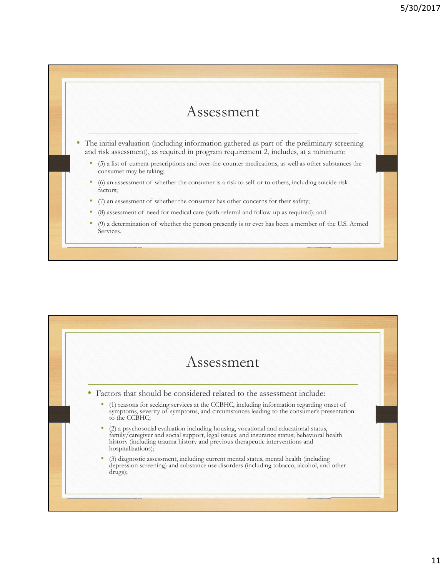#### Assessment

- The initial evaluation (including information gathered as part of the preliminary screening and risk assessment), as required in program requirement 2, includes, at a minimum:
	- (5) a list of current prescriptions and over-the-counter medications, as well as other substances the consumer may be taking;
	- (6) an assessment of whether the consumer is a risk to self or to others, including suicide risk factors;
	- (7) an assessment of whether the consumer has other concerns for their safety;
	- (8) assessment of need for medical care (with referral and follow-up as required); and
	- (9) a determination of whether the person presently is or ever has been a member of the U.S. Armed Services.

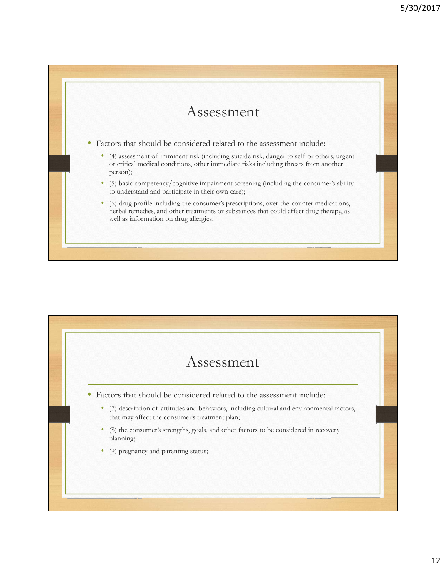

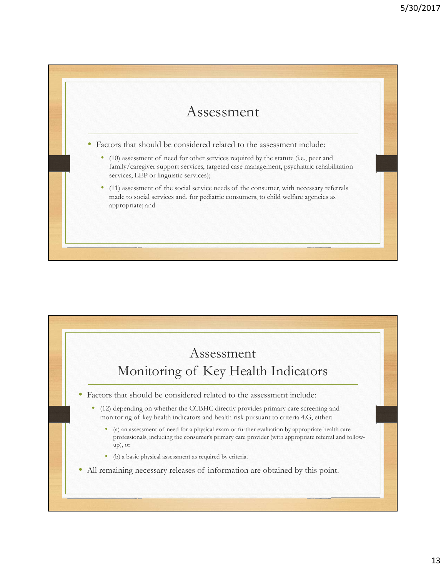## Assessment

• Factors that should be considered related to the assessment include:

- (10) assessment of need for other services required by the statute (i.e., peer and family/caregiver support services, targeted case management, psychiatric rehabilitation services, LEP or linguistic services);
- (11) assessment of the social service needs of the consumer, with necessary referrals made to social services and, for pediatric consumers, to child welfare agencies as appropriate; and

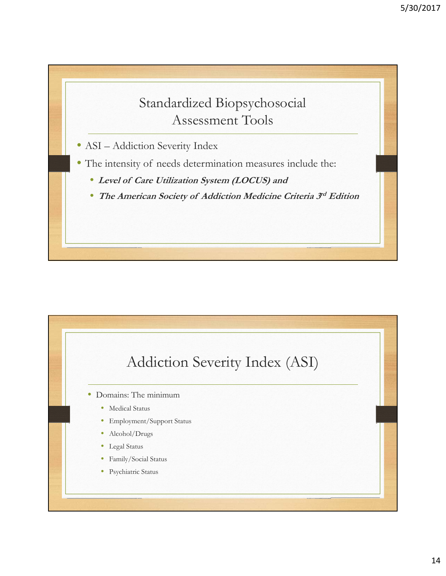

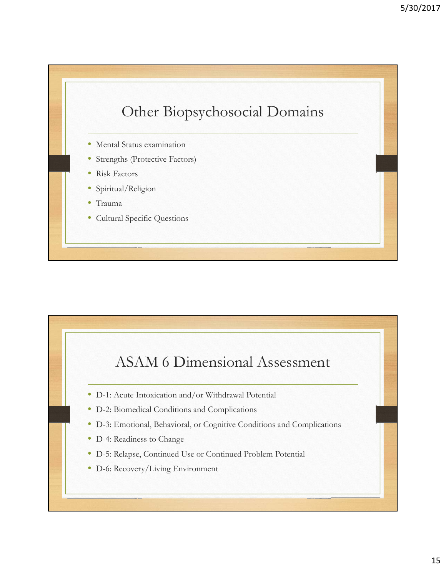

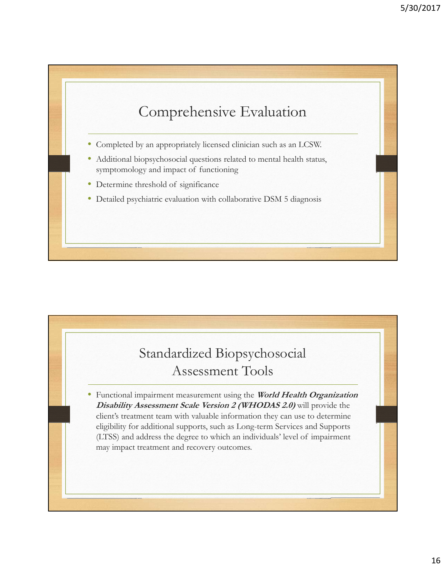

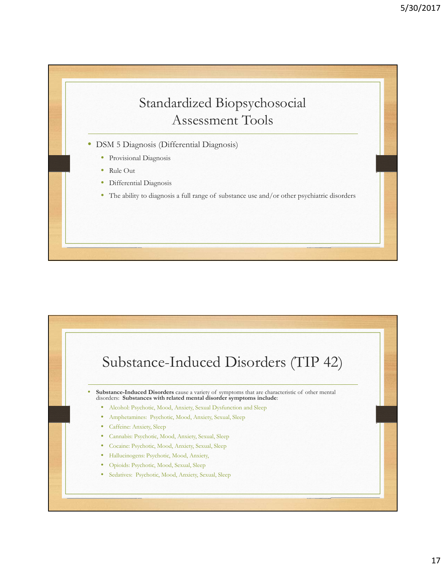## Standardized Biopsychosocial Assessment Tools

- DSM 5 Diagnosis (Differential Diagnosis)
	- Provisional Diagnosis
	- Rule Out
	- Differential Diagnosis
	- The ability to diagnosis a full range of substance use and/or other psychiatric disorders